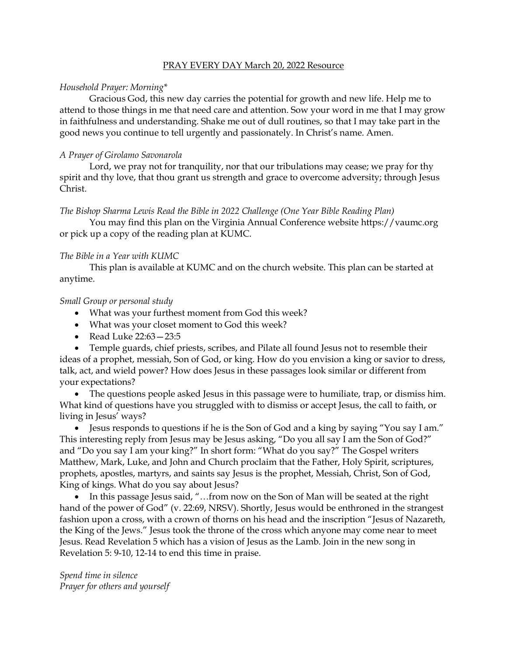#### PRAY EVERY DAY March 20, 2022 Resource

#### *Household Prayer: Morning\**

Gracious God, this new day carries the potential for growth and new life. Help me to attend to those things in me that need care and attention. Sow your word in me that I may grow in faithfulness and understanding. Shake me out of dull routines, so that I may take part in the good news you continue to tell urgently and passionately. In Christ's name. Amen.

# *A Prayer of Girolamo Savonarola*

Lord, we pray not for tranquility, nor that our tribulations may cease; we pray for thy spirit and thy love, that thou grant us strength and grace to overcome adversity; through Jesus Christ.

#### *The Bishop Sharma Lewis Read the Bible in 2022 Challenge (One Year Bible Reading Plan)*

You may find this plan on the Virginia Annual Conference website [https://vaumc.org](https://vaumc.org/) or pick up a copy of the reading plan at KUMC.

# *The Bible in a Year with KUMC*

This plan is available at KUMC and on the church website. This plan can be started at anytime.

# *Small Group or personal study*

- What was your furthest moment from God this week?
- What was your closet moment to God this week?
- Read Luke 22:63—23:5

• Temple guards, chief priests, scribes, and Pilate all found Jesus not to resemble their ideas of a prophet, messiah, Son of God, or king. How do you envision a king or savior to dress, talk, act, and wield power? How does Jesus in these passages look similar or different from your expectations?

• The questions people asked Jesus in this passage were to humiliate, trap, or dismiss him. What kind of questions have you struggled with to dismiss or accept Jesus, the call to faith, or living in Jesus' ways?

• Jesus responds to questions if he is the Son of God and a king by saying "You say I am." This interesting reply from Jesus may be Jesus asking, "Do you all say I am the Son of God?" and "Do you say I am your king?" In short form: "What do you say?" The Gospel writers Matthew, Mark, Luke, and John and Church proclaim that the Father, Holy Spirit, scriptures, prophets, apostles, martyrs, and saints say Jesus is the prophet, Messiah, Christ, Son of God, King of kings. What do you say about Jesus?

• In this passage Jesus said, "...from now on the Son of Man will be seated at the right hand of the power of God" (v. 22:69, NRSV). Shortly, Jesus would be enthroned in the strangest fashion upon a cross, with a crown of thorns on his head and the inscription "Jesus of Nazareth, the King of the Jews." Jesus took the throne of the cross which anyone may come near to meet Jesus. Read Revelation 5 which has a vision of Jesus as the Lamb. Join in the new song in Revelation 5: 9-10, 12-14 to end this time in praise.

*Spend time in silence Prayer for others and yourself*